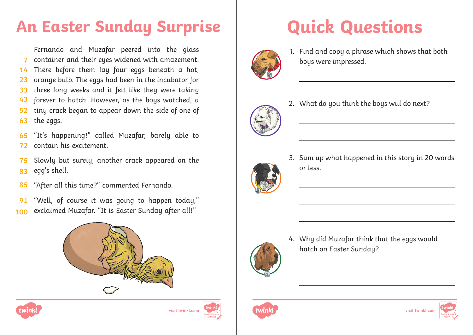# **An Easter Sunday Surprise | Quick Questions**

Fernando and Muzafar peered into the glass container and their eyes widened with amazement. There before them lay four eggs beneath a hot, orange bulb. The eggs had been in the incubator for three long weeks and it felt like they were taking forever to hatch. However, as the bous watched, a tiny crack began to appear down the side of one of the eggs. **7 14 23 33 43 52 63**

"It's happening!" called Muzafar, barely able to contain his excitement. **65 72**

- Slowly but surely, another crack appeared on the egg's shell. **75 83**
- "After all this time?" commented Fernando. **85**
- "Well, of course it was going to happen today," exclaimed Muzafar. "It is Easter Sunday after all!" **91 100**









1. Find and copy a phrase which shows that both boys were impressed.



2. What do you think the boys will do next?



3. Sum up what happened in this story in 20 words or less.



4. Why did Muzafar think that the eggs would hatch on Easter Sunday?